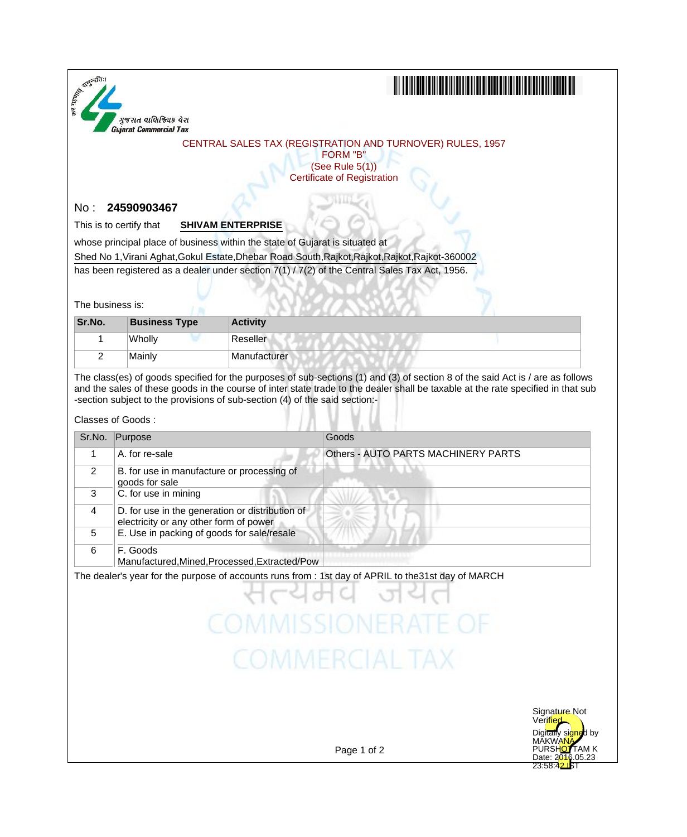

# 

### CENTRAL SALES TAX (REGISTRATION AND TURNOVER) RULES, 1957

FORM "B" (See Rule 5(1)) Certificate of Registration

## No : **24590903467**

This is to certify that **SHIVAM ENTERPRISE**

whose principal place of business within the state of Gujarat is situated at

Shed No 1,Virani Aghat,Gokul Estate,Dhebar Road South,Rajkot,Rajkot,Rajkot,Rajkot-360002

has been registered as a dealer under section 7(1) / 7(2) of the Central Sales Tax Act, 1956.

The business is:

| Sr.No. | <b>Business Type</b> | <b>Activity</b> |
|--------|----------------------|-----------------|
|        | Wholly               | Reseller        |
|        | Mainlv               | Manufacturer    |

The class(es) of goods specified for the purposes of sub-sections (1) and (3) of section 8 of the said Act is / are as follows and the sales of these goods in the course of inter state trade to the dealer shall be taxable at the rate specified in that sub -section subject to the provisions of sub-section (4) of the said section:-

#### Classes of Goods :

| Sr.No. | Purpose                                                                                   | Goods                               |
|--------|-------------------------------------------------------------------------------------------|-------------------------------------|
|        | A. for re-sale                                                                            | Others - AUTO PARTS MACHINERY PARTS |
| 2      | B. for use in manufacture or processing of<br>goods for sale                              |                                     |
| 3      | C. for use in mining                                                                      |                                     |
| 4      | D. for use in the generation or distribution of<br>electricity or any other form of power |                                     |
| 5      | E. Use in packing of goods for sale/resale                                                |                                     |
| 6      | F. Goods<br>Manufactured, Mined, Processed, Extracted/Pow                                 |                                     |

# **COMMISSIONERATE OF COMMERCIAL TAX**



Page 1 of 2